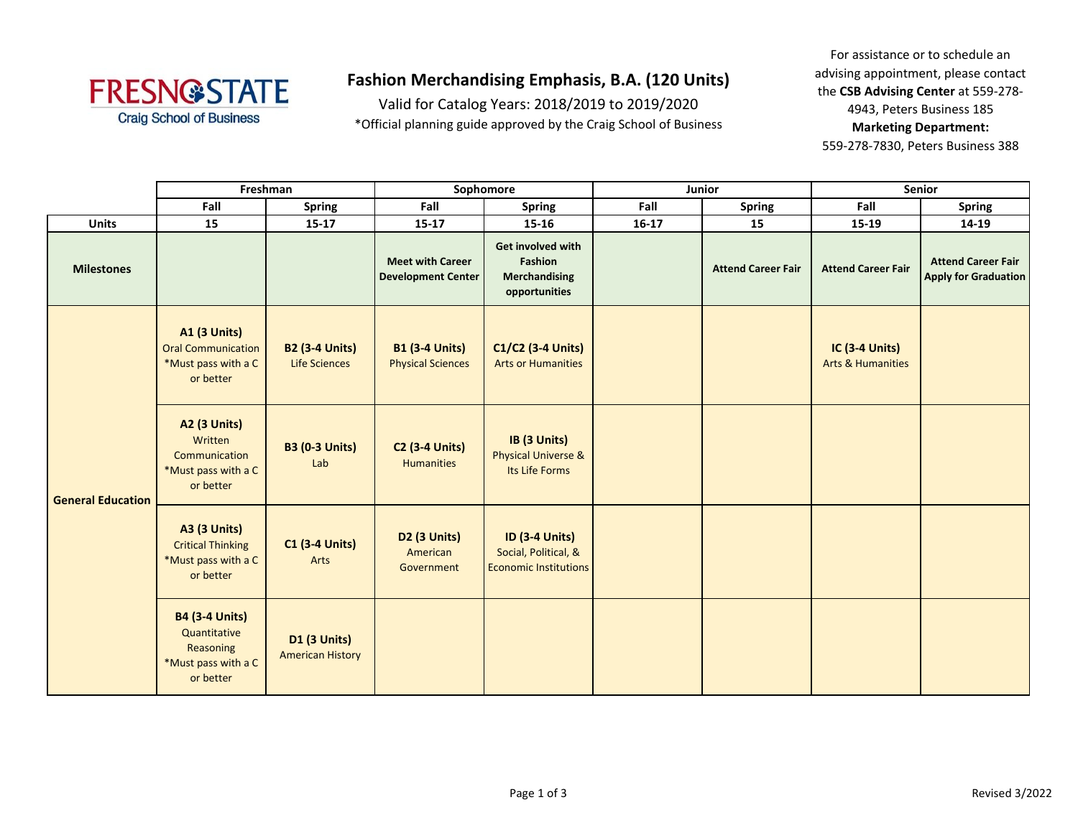

## **Fashion Merchandising Emphasis, B.A. (120 Units)**

Valid for Catalog Years: 2018/2019 to 2019/2020 \*Official planning guide approved by the Craig School of Business

For assistance or to schedule an advising appointment, please contact the **CSB Advising Center** at 559-278- 4943, Peters Business 185 **Marketing Department:**  559-278-7830, Peters Business 388

|                          | Freshman                                                                               |                                                | Sophomore                                            |                                                                               | <b>Junior</b> |                           | Senior                                                |                                                          |
|--------------------------|----------------------------------------------------------------------------------------|------------------------------------------------|------------------------------------------------------|-------------------------------------------------------------------------------|---------------|---------------------------|-------------------------------------------------------|----------------------------------------------------------|
|                          | Fall                                                                                   | <b>Spring</b>                                  | Fall                                                 | <b>Spring</b>                                                                 | Fall          | <b>Spring</b>             | Fall                                                  | <b>Spring</b>                                            |
| <b>Units</b>             | 15                                                                                     | $15 - 17$                                      | $15 - 17$                                            | 15-16                                                                         | $16-17$       | 15                        | 15-19                                                 | 14-19                                                    |
| <b>Milestones</b>        |                                                                                        |                                                | <b>Meet with Career</b><br><b>Development Center</b> | <b>Get involved with</b><br>Fashion<br><b>Merchandising</b><br>opportunities  |               | <b>Attend Career Fair</b> | <b>Attend Career Fair</b>                             | <b>Attend Career Fair</b><br><b>Apply for Graduation</b> |
| <b>General Education</b> | <b>A1 (3 Units)</b><br><b>Oral Communication</b><br>*Must pass with a C<br>or better   | <b>B2 (3-4 Units)</b><br>Life Sciences         | <b>B1 (3-4 Units)</b><br><b>Physical Sciences</b>    | C1/C2 (3-4 Units)<br><b>Arts or Humanities</b>                                |               |                           | <b>IC (3-4 Units)</b><br><b>Arts &amp; Humanities</b> |                                                          |
|                          | <b>A2 (3 Units)</b><br>Written<br>Communication<br>*Must pass with a C<br>or better    | <b>B3 (0-3 Units)</b><br>Lab                   | <b>C2 (3-4 Units)</b><br><b>Humanities</b>           | IB (3 Units)<br><b>Physical Universe &amp;</b><br>Its Life Forms              |               |                           |                                                       |                                                          |
|                          | <b>A3 (3 Units)</b><br><b>Critical Thinking</b><br>*Must pass with a C<br>or better    | <b>C1 (3-4 Units)</b><br>Arts                  | D2 (3 Units)<br>American<br>Government               | <b>ID (3-4 Units)</b><br>Social, Political, &<br><b>Economic Institutions</b> |               |                           |                                                       |                                                          |
|                          | <b>B4 (3-4 Units)</b><br>Quantitative<br>Reasoning<br>*Must pass with a C<br>or better | <b>D1 (3 Units)</b><br><b>American History</b> |                                                      |                                                                               |               |                           |                                                       |                                                          |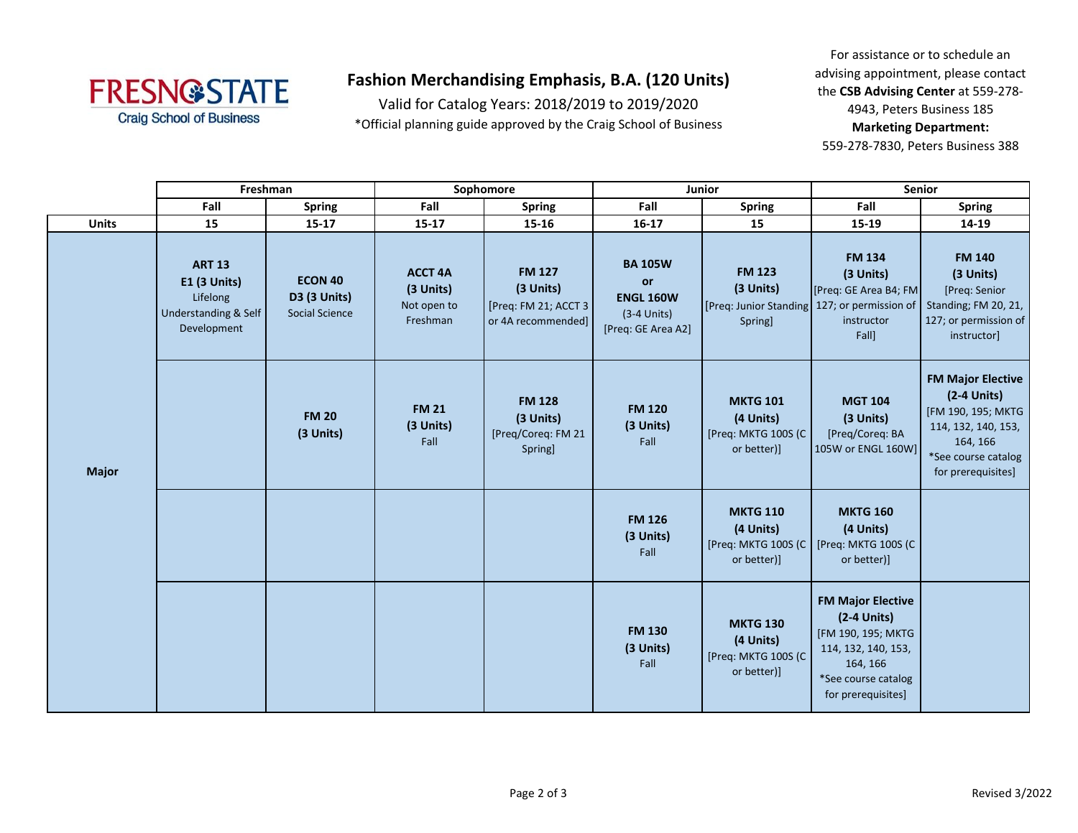

## **Fashion Merchandising Emphasis, B.A. (120 Units)**

Valid for Catalog Years: 2018/2019 to 2019/2020 \*Official planning guide approved by the Craig School of Business

For assistance or to schedule an advising appointment, please contact the **CSB Advising Center** at 559-278- 4943, Peters Business 185 **Marketing Department:**  559-278-7830, Peters Business 388

|              | Freshman                                                                                |                                                  | Sophomore                                              |                                                                           | Junior                                                                          |                                                                                       | Senior                                                                                                                                          |                                                                                                                                                 |
|--------------|-----------------------------------------------------------------------------------------|--------------------------------------------------|--------------------------------------------------------|---------------------------------------------------------------------------|---------------------------------------------------------------------------------|---------------------------------------------------------------------------------------|-------------------------------------------------------------------------------------------------------------------------------------------------|-------------------------------------------------------------------------------------------------------------------------------------------------|
|              | Fall                                                                                    | <b>Spring</b>                                    | Fall                                                   | <b>Spring</b>                                                             | Fall                                                                            | <b>Spring</b>                                                                         | Fall                                                                                                                                            | <b>Spring</b>                                                                                                                                   |
| <b>Units</b> | 15                                                                                      | $15 - 17$                                        | 15-17                                                  | 15-16                                                                     | $16 - 17$                                                                       | 15                                                                                    | 15-19                                                                                                                                           | 14-19                                                                                                                                           |
| <b>Major</b> | <b>ART 13</b><br><b>E1 (3 Units)</b><br>Lifelong<br>Understanding & Self<br>Development | <b>ECON 40</b><br>D3 (3 Units)<br>Social Science | <b>ACCT 4A</b><br>(3 Units)<br>Not open to<br>Freshman | <b>FM 127</b><br>(3 Units)<br>[Preq: FM 21; ACCT 3]<br>or 4A recommended] | <b>BA 105W</b><br>or<br><b>ENGL 160W</b><br>$(3-4$ Units)<br>[Preq: GE Area A2] | <b>FM 123</b><br>(3 Units)<br>[Preq: Junior Standing 127; or permission of<br>Spring] | <b>FM 134</b><br>(3 Units)<br>[Preq: GE Area B4; FM<br>instructor<br>Fall]                                                                      | <b>FM 140</b><br>(3 Units)<br>[Preq: Senior<br>Standing; FM 20, 21,<br>127; or permission of<br>instructor]                                     |
|              |                                                                                         | <b>FM 20</b><br>(3 Units)                        | <b>FM 21</b><br>(3 Units)<br>Fall                      | <b>FM 128</b><br>(3 Units)<br>[Preq/Coreq: FM 21<br><b>Spring</b>         | <b>FM 120</b><br>(3 Units)<br>Fall                                              | <b>MKTG 101</b><br>(4 Units)<br>[Preq: MKTG 100S (C<br>or better)]                    | <b>MGT 104</b><br>(3 Units)<br>[Preq/Coreq: BA<br>105W or ENGL 160W]                                                                            | <b>FM Major Elective</b><br>$(2-4$ Units)<br>[FM 190, 195; MKTG<br>114, 132, 140, 153,<br>164, 166<br>*See course catalog<br>for prerequisites] |
|              |                                                                                         |                                                  |                                                        |                                                                           | <b>FM 126</b><br>(3 Units)<br>Fall                                              | <b>MKTG 110</b><br>(4 Units)<br>[Preq: MKTG 100S (C<br>or better)]                    | <b>MKTG 160</b><br>(4 Units)<br>[Preq: MKTG 100S (C<br>or better)]                                                                              |                                                                                                                                                 |
|              |                                                                                         |                                                  |                                                        |                                                                           | <b>FM 130</b><br>(3 Units)<br>Fall                                              | <b>MKTG 130</b><br>(4 Units)<br>[Preq: MKTG 100S (C<br>or better)]                    | <b>FM Major Elective</b><br>$(2-4$ Units)<br>[FM 190, 195; MKTG<br>114, 132, 140, 153,<br>164, 166<br>*See course catalog<br>for prerequisites] |                                                                                                                                                 |